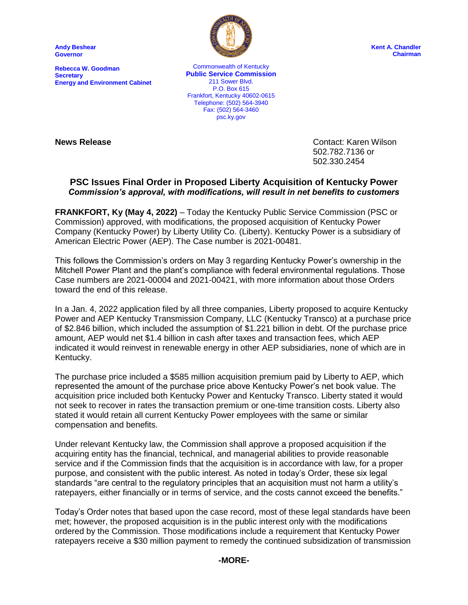**Andy Beshear Governor**

**Rebecca W. Goodman Secretary Energy and Environment Cabinet**



**Kent A. Chandler Chairman**

Commonwealth of Kentucky **Public Service Commission** 211 Sower Blvd. P.O. Box 615 Frankfort, Kentucky 40602-0615 Telephone: (502) 564-3940 Fax: (502) 564-3460 psc.ky.gov

**News Release** Contact: Karen Wilson 502.782.7136 or 502.330.2454

## **PSC Issues Final Order in Proposed Liberty Acquisition of Kentucky Power** *Commission's approval, with modifications, will result in net benefits to customers*

**FRANKFORT, Ky (May 4, 2022)** – Today the Kentucky Public Service Commission (PSC or Commission) approved, with modifications, the proposed acquisition of Kentucky Power Company (Kentucky Power) by Liberty Utility Co. (Liberty). Kentucky Power is a subsidiary of American Electric Power (AEP). The Case number is 2021-00481.

This follows the Commission's orders on May 3 regarding Kentucky Power's ownership in the Mitchell Power Plant and the plant's compliance with federal environmental regulations. Those Case numbers are 2021-00004 and 2021-00421, with more information about those Orders toward the end of this release.

In a Jan. 4, 2022 application filed by all three companies, Liberty proposed to acquire Kentucky Power and AEP Kentucky Transmission Company, LLC (Kentucky Transco) at a purchase price of \$2.846 billion, which included the assumption of \$1.221 billion in debt. Of the purchase price amount, AEP would net \$1.4 billion in cash after taxes and transaction fees, which AEP indicated it would reinvest in renewable energy in other AEP subsidiaries, none of which are in Kentucky.

The purchase price included a \$585 million acquisition premium paid by Liberty to AEP, which represented the amount of the purchase price above Kentucky Power's net book value. The acquisition price included both Kentucky Power and Kentucky Transco. Liberty stated it would not seek to recover in rates the transaction premium or one-time transition costs. Liberty also stated it would retain all current Kentucky Power employees with the same or similar compensation and benefits.

Under relevant Kentucky law, the Commission shall approve a proposed acquisition if the acquiring entity has the financial, technical, and managerial abilities to provide reasonable service and if the Commission finds that the acquisition is in accordance with law, for a proper purpose, and consistent with the public interest. As noted in today's Order, these six legal standards "are central to the regulatory principles that an acquisition must not harm a utility's ratepayers, either financially or in terms of service, and the costs cannot exceed the benefits."

Today's Order notes that based upon the case record, most of these legal standards have been met; however, the proposed acquisition is in the public interest only with the modifications ordered by the Commission. Those modifications include a requirement that Kentucky Power ratepayers receive a \$30 million payment to remedy the continued subsidization of transmission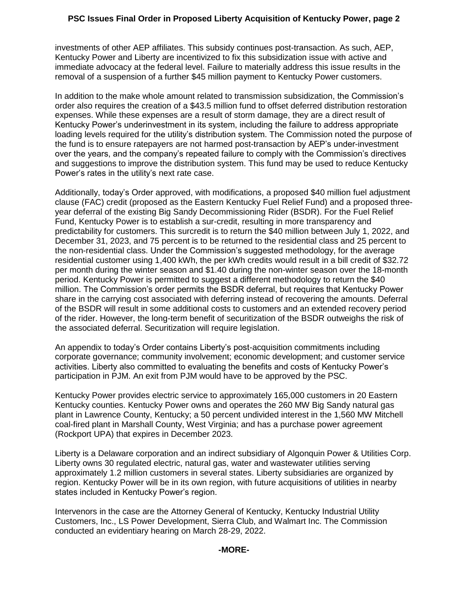investments of other AEP affiliates. This subsidy continues post-transaction. As such, AEP, Kentucky Power and Liberty are incentivized to fix this subsidization issue with active and immediate advocacy at the federal level. Failure to materially address this issue results in the removal of a suspension of a further \$45 million payment to Kentucky Power customers.

In addition to the make whole amount related to transmission subsidization, the Commission's order also requires the creation of a \$43.5 million fund to offset deferred distribution restoration expenses. While these expenses are a result of storm damage, they are a direct result of Kentucky Power's underinvestment in its system, including the failure to address appropriate loading levels required for the utility's distribution system. The Commission noted the purpose of the fund is to ensure ratepayers are not harmed post-transaction by AEP's under-investment over the years, and the company's repeated failure to comply with the Commission's directives and suggestions to improve the distribution system. This fund may be used to reduce Kentucky Power's rates in the utility's next rate case.

Additionally, today's Order approved, with modifications, a proposed \$40 million fuel adjustment clause (FAC) credit (proposed as the Eastern Kentucky Fuel Relief Fund) and a proposed threeyear deferral of the existing Big Sandy Decommissioning Rider (BSDR). For the Fuel Relief Fund, Kentucky Power is to establish a sur-credit, resulting in more transparency and predictability for customers. This surcredit is to return the \$40 million between July 1, 2022, and December 31, 2023, and 75 percent is to be returned to the residential class and 25 percent to the non-residential class. Under the Commission's suggested methodology, for the average residential customer using 1,400 kWh, the per kWh credits would result in a bill credit of \$32.72 per month during the winter season and \$1.40 during the non-winter season over the 18-month period. Kentucky Power is permitted to suggest a different methodology to return the \$40 million. The Commission's order permits the BSDR deferral, but requires that Kentucky Power share in the carrying cost associated with deferring instead of recovering the amounts. Deferral of the BSDR will result in some additional costs to customers and an extended recovery period of the rider. However, the long-term benefit of securitization of the BSDR outweighs the risk of the associated deferral. Securitization will require legislation.

An appendix to today's Order contains Liberty's post-acquisition commitments including corporate governance; community involvement; economic development; and customer service activities. Liberty also committed to evaluating the benefits and costs of Kentucky Power's participation in PJM. An exit from PJM would have to be approved by the PSC.

Kentucky Power provides electric service to approximately 165,000 customers in 20 Eastern Kentucky counties. Kentucky Power owns and operates the 260 MW Big Sandy natural gas plant in Lawrence County, Kentucky; a 50 percent undivided interest in the 1,560 MW Mitchell coal-fired plant in Marshall County, West Virginia; and has a purchase power agreement (Rockport UPA) that expires in December 2023.

Liberty is a Delaware corporation and an indirect subsidiary of Algonquin Power & Utilities Corp. Liberty owns 30 regulated electric, natural gas, water and wastewater utilities serving approximately 1.2 million customers in several states. Liberty subsidiaries are organized by region. Kentucky Power will be in its own region, with future acquisitions of utilities in nearby states included in Kentucky Power's region.

Intervenors in the case are the Attorney General of Kentucky, Kentucky Industrial Utility Customers, Inc., LS Power Development, Sierra Club, and Walmart Inc. The Commission conducted an evidentiary hearing on March 28-29, 2022.